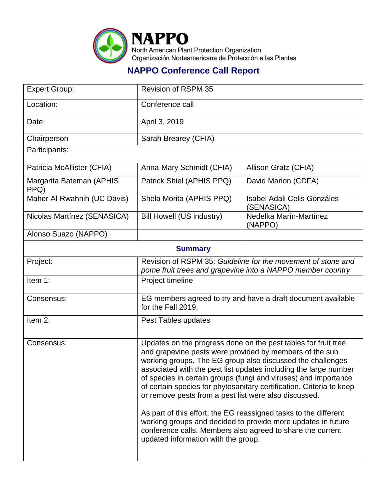

## **NAPPO Conference Call Report**

| <b>Expert Group:</b>             | <b>Revision of RSPM 35</b>                                                                                                                                                                                                                                                                                                                                                                                                                                                                                                                                                                                                                                                                               |                                                  |  |
|----------------------------------|----------------------------------------------------------------------------------------------------------------------------------------------------------------------------------------------------------------------------------------------------------------------------------------------------------------------------------------------------------------------------------------------------------------------------------------------------------------------------------------------------------------------------------------------------------------------------------------------------------------------------------------------------------------------------------------------------------|--------------------------------------------------|--|
| Location:                        | Conference call                                                                                                                                                                                                                                                                                                                                                                                                                                                                                                                                                                                                                                                                                          |                                                  |  |
| Date:                            | April 3, 2019                                                                                                                                                                                                                                                                                                                                                                                                                                                                                                                                                                                                                                                                                            |                                                  |  |
| Chairperson                      | Sarah Brearey (CFIA)                                                                                                                                                                                                                                                                                                                                                                                                                                                                                                                                                                                                                                                                                     |                                                  |  |
| Participants:                    |                                                                                                                                                                                                                                                                                                                                                                                                                                                                                                                                                                                                                                                                                                          |                                                  |  |
| Patricia McAllister (CFIA)       | Anna-Mary Schmidt (CFIA)                                                                                                                                                                                                                                                                                                                                                                                                                                                                                                                                                                                                                                                                                 | Allison Gratz (CFIA)                             |  |
| Margarita Bateman (APHIS<br>PPQ) | Patrick Shiel (APHIS PPQ)                                                                                                                                                                                                                                                                                                                                                                                                                                                                                                                                                                                                                                                                                | David Marion (CDFA)                              |  |
| Maher Al-Rwahnih (UC Davis)      | Shela Morita (APHIS PPQ)                                                                                                                                                                                                                                                                                                                                                                                                                                                                                                                                                                                                                                                                                 | <b>Isabel Adali Celis Gonzáles</b><br>(SENASICA) |  |
| Nicolas Martínez (SENASICA)      | <b>Bill Howell (US industry)</b>                                                                                                                                                                                                                                                                                                                                                                                                                                                                                                                                                                                                                                                                         | Nedelka Marín-Martínez<br>(NAPPO)                |  |
| Alonso Suazo (NAPPO)             |                                                                                                                                                                                                                                                                                                                                                                                                                                                                                                                                                                                                                                                                                                          |                                                  |  |
| <b>Summary</b>                   |                                                                                                                                                                                                                                                                                                                                                                                                                                                                                                                                                                                                                                                                                                          |                                                  |  |
| Project:                         | Revision of RSPM 35: Guideline for the movement of stone and<br>pome fruit trees and grapevine into a NAPPO member country                                                                                                                                                                                                                                                                                                                                                                                                                                                                                                                                                                               |                                                  |  |
| Item 1:                          | Project timeline                                                                                                                                                                                                                                                                                                                                                                                                                                                                                                                                                                                                                                                                                         |                                                  |  |
| Consensus:                       | EG members agreed to try and have a draft document available<br>for the Fall 2019.                                                                                                                                                                                                                                                                                                                                                                                                                                                                                                                                                                                                                       |                                                  |  |
| Item 2:                          | Pest Tables updates                                                                                                                                                                                                                                                                                                                                                                                                                                                                                                                                                                                                                                                                                      |                                                  |  |
| Consensus:                       | Updates on the progress done on the pest tables for fruit tree<br>and grapevine pests were provided by members of the sub<br>working groups. The EG group also discussed the challenges<br>associated with the pest list updates including the large number<br>of species in certain groups (fungi and viruses) and importance<br>of certain species for phytosanitary certification. Criteria to keep<br>or remove pests from a pest list were also discussed.<br>As part of this effort, the EG reassigned tasks to the different<br>working groups and decided to provide more updates in future<br>conference calls. Members also agreed to share the current<br>updated information with the group. |                                                  |  |